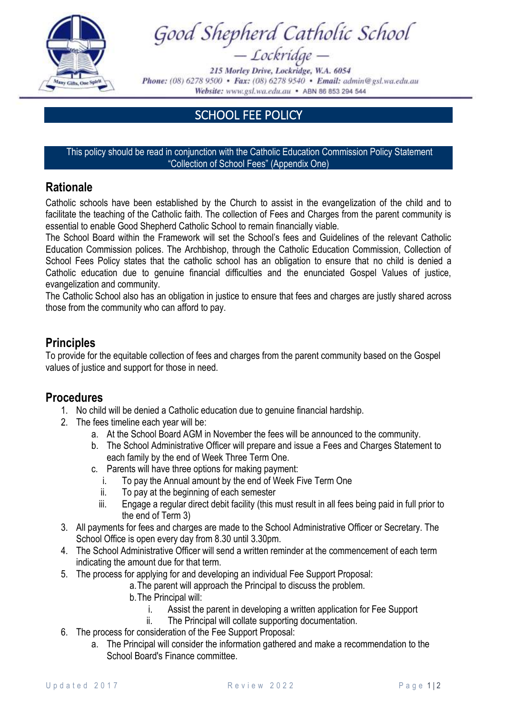

Good Shepherd Catholic School<br>- Lockridge -

215 Morley Drive, Lockridge, W.A. 6054 Phone: (08) 6278 9500 · Fax: (08) 6278 9540 · Email: admin@gsl.wa.edu.au Website: www.gsl.wa.edu.au • ABN 86 853 294 544

## SCHOOL FEE POLICY

This policy should be read in conjunction with the Catholic Education Commission Policy Statement "Collection of School Fees" (Appendix One)

## **Rationale**

Catholic schools have been established by the Church to assist in the evangelization of the child and to facilitate the teaching of the Catholic faith. The collection of Fees and Charges from the parent community is essential to enable Good Shepherd Catholic School to remain financially viable.

The School Board within the Framework will set the School's fees and Guidelines of the relevant Catholic Education Commission polices. The Archbishop, through the Catholic Education Commission, Collection of School Fees Policy states that the catholic school has an obligation to ensure that no child is denied a Catholic education due to genuine financial difficulties and the enunciated Gospel Values of justice, evangelization and community.

The Catholic School also has an obligation in justice to ensure that fees and charges are justly shared across those from the community who can afford to pay.

## **Principles**

To provide for the equitable collection of fees and charges from the parent community based on the Gospel values of justice and support for those in need.

## **Procedures**

- 1. No child will be denied a Catholic education due to genuine financial hardship.
- 2. The fees timeline each year will be:
	- a. At the School Board AGM in November the fees will be announced to the community.
	- b. The School Administrative Officer will prepare and issue a Fees and Charges Statement to each family by the end of Week Three Term One.
	- c. Parents will have three options for making payment:
		- i. To pay the Annual amount by the end of Week Five Term One
		- ii. To pay at the beginning of each semester
		- iii. Engage a regular direct debit facility (this must result in all fees being paid in full prior to the end of Term 3)
- 3. All payments for fees and charges are made to the School Administrative Officer or Secretary. The School Office is open every day from 8.30 until 3.30pm.
- 4. The School Administrative Officer will send a written reminder at the commencement of each term indicating the amount due for that term.
- 5. The process for applying for and developing an individual Fee Support Proposal:
	- a.The parent will approach the Principal to discuss the problem.
	- b.The Principal will:
		- i. Assist the parent in developing a written application for Fee Support
		- ii. The Principal will collate supporting documentation.
- 6. The process for consideration of the Fee Support Proposal:
	- a. The Principal will consider the information gathered and make a recommendation to the School Board's Finance committee.